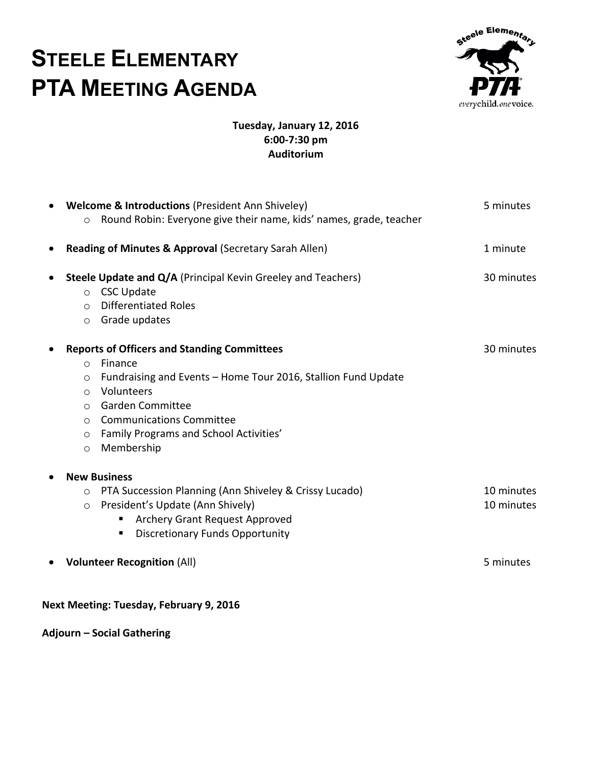## **STEELE ELEMENTARY PTA MEETING AGENDA**



## **Tuesday, January 12, 2016 6:00-7:30 pm Auditorium**

|                                         |         | <b>Welcome &amp; Introductions (President Ann Shiveley)</b>         | 5 minutes  |
|-----------------------------------------|---------|---------------------------------------------------------------------|------------|
|                                         | $\circ$ | Round Robin: Everyone give their name, kids' names, grade, teacher  |            |
| $\bullet$                               |         | Reading of Minutes & Approval (Secretary Sarah Allen)               | 1 minute   |
|                                         |         | <b>Steele Update and Q/A (Principal Kevin Greeley and Teachers)</b> | 30 minutes |
|                                         | $\circ$ | <b>CSC Update</b>                                                   |            |
|                                         | $\circ$ | <b>Differentiated Roles</b>                                         |            |
|                                         | $\circ$ | Grade updates                                                       |            |
|                                         |         | <b>Reports of Officers and Standing Committees</b>                  | 30 minutes |
|                                         | $\circ$ | Finance                                                             |            |
|                                         | $\circ$ | Fundraising and Events - Home Tour 2016, Stallion Fund Update       |            |
|                                         | $\circ$ | Volunteers                                                          |            |
|                                         | $\circ$ | <b>Garden Committee</b>                                             |            |
|                                         | $\circ$ | <b>Communications Committee</b>                                     |            |
|                                         | $\circ$ | Family Programs and School Activities'                              |            |
|                                         | $\circ$ | Membership                                                          |            |
|                                         |         | <b>New Business</b>                                                 |            |
|                                         | $\circ$ | PTA Succession Planning (Ann Shiveley & Crissy Lucado)              | 10 minutes |
|                                         | $\circ$ | President's Update (Ann Shively)                                    | 10 minutes |
|                                         |         | Archery Grant Request Approved                                      |            |
|                                         |         | <b>Discretionary Funds Opportunity</b><br>٠                         |            |
|                                         |         | <b>Volunteer Recognition (All)</b>                                  | 5 minutes  |
| Next Meeting: Tuesday, February 9, 2016 |         |                                                                     |            |

**Adjourn – Social Gathering**